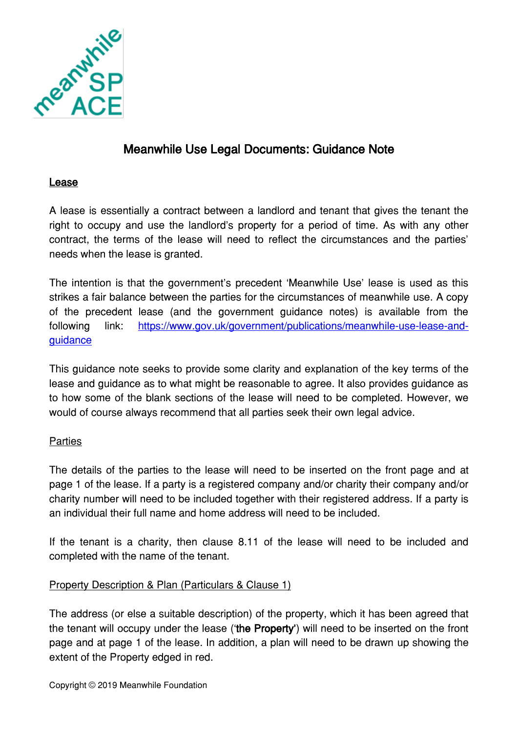

# Meanwhile Use Legal Documents: Guidance Note

## **Lease**

A lease is essentially a contract between a landlord and tenant that gives the tenant the right to occupy and use the landlord's property for a period of time. As with any other contract, the terms of the lease will need to reflect the circumstances and the parties' needs when the lease is granted.

The intention is that the government's precedent 'Meanwhile Use' lease is used as this strikes a fair balance between the parties for the circumstances of meanwhile use. A copy of the precedent lease (and the government guidance notes) is available from the following link: [https://www.gov.uk/government/publications/meanwhile-use-lease-and](https://www.gov.uk/government/publications/meanwhile-use-lease-and-guidance)[guidance](https://www.gov.uk/government/publications/meanwhile-use-lease-and-guidance)

This guidance note seeks to provide some clarity and explanation of the key terms of the lease and guidance as to what might be reasonable to agree. It also provides guidance as to how some of the blank sections of the lease will need to be completed. However, we would of course always recommend that all parties seek their own legal advice.

## **Parties**

The details of the parties to the lease will need to be inserted on the front page and at page 1 of the lease. If a party is a registered company and/or charity their company and/or charity number will need to be included together with their registered address. If a party is an individual their full name and home address will need to be included.

If the tenant is a charity, then clause 8.11 of the lease will need to be included and completed with the name of the tenant.

## Property Description & Plan (Particulars & Clause 1)

The address (or else a suitable description) of the property, which it has been agreed that the tenant will occupy under the lease ('the Property') will need to be inserted on the front page and at page 1 of the lease. In addition, a plan will need to be drawn up showing the extent of the Property edged in red.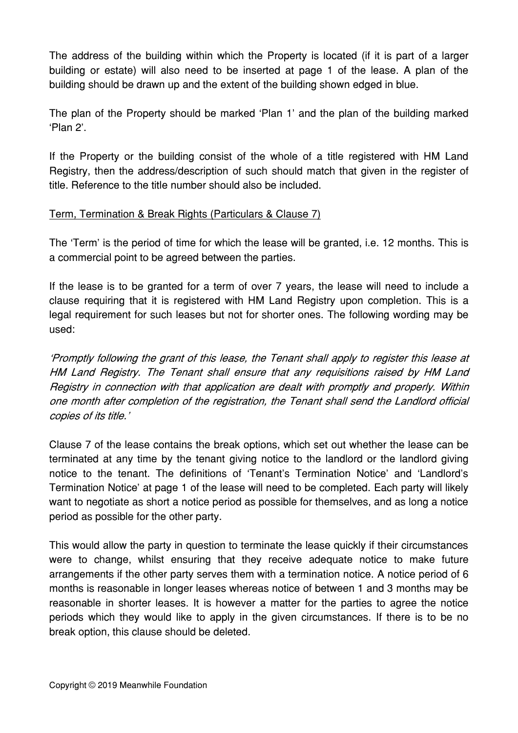The address of the building within which the Property is located (if it is part of a larger building or estate) will also need to be inserted at page 1 of the lease. A plan of the building should be drawn up and the extent of the building shown edged in blue.

The plan of the Property should be marked 'Plan 1' and the plan of the building marked 'Plan 2'.

If the Property or the building consist of the whole of a title registered with HM Land Registry, then the address/description of such should match that given in the register of title. Reference to the title number should also be included.

## Term, Termination & Break Rights (Particulars & Clause 7)

The 'Term' is the period of time for which the lease will be granted, i.e. 12 months. This is a commercial point to be agreed between the parties.

If the lease is to be granted for a term of over 7 years, the lease will need to include a clause requiring that it is registered with HM Land Registry upon completion. This is a legal requirement for such leases but not for shorter ones. The following wording may be used:

'Promptly following the grant of this lease, the Tenant shall apply to register this lease at HM Land Registry. The Tenant shall ensure that any requisitions raised by HM Land Registry in connection with that application are dealt with promptly and properly. Within one month after completion of the registration, the Tenant shall send the Landlord official copies of its title.'

Clause 7 of the lease contains the break options, which set out whether the lease can be terminated at any time by the tenant giving notice to the landlord or the landlord giving notice to the tenant. The definitions of 'Tenant's Termination Notice' and 'Landlord's Termination Notice' at page 1 of the lease will need to be completed. Each party will likely want to negotiate as short a notice period as possible for themselves, and as long a notice period as possible for the other party.

This would allow the party in question to terminate the lease quickly if their circumstances were to change, whilst ensuring that they receive adequate notice to make future arrangements if the other party serves them with a termination notice. A notice period of 6 months is reasonable in longer leases whereas notice of between 1 and 3 months may be reasonable in shorter leases. It is however a matter for the parties to agree the notice periods which they would like to apply in the given circumstances. If there is to be no break option, this clause should be deleted.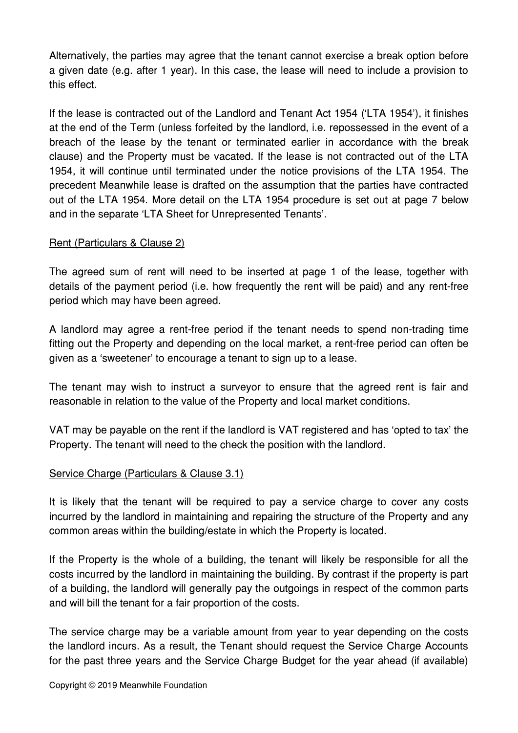Alternatively, the parties may agree that the tenant cannot exercise a break option before a given date (e.g. after 1 year). In this case, the lease will need to include a provision to this effect.

If the lease is contracted out of the Landlord and Tenant Act 1954 ('LTA 1954'), it finishes at the end of the Term (unless forfeited by the landlord, i.e. repossessed in the event of a breach of the lease by the tenant or terminated earlier in accordance with the break clause) and the Property must be vacated. If the lease is not contracted out of the LTA 1954, it will continue until terminated under the notice provisions of the LTA 1954. The precedent Meanwhile lease is drafted on the assumption that the parties have contracted out of the LTA 1954. More detail on the LTA 1954 procedure is set out at page 7 below and in the separate 'LTA Sheet for Unrepresented Tenants'.

## Rent (Particulars & Clause 2)

The agreed sum of rent will need to be inserted at page 1 of the lease, together with details of the payment period (i.e. how frequently the rent will be paid) and any rent-free period which may have been agreed.

A landlord may agree a rent-free period if the tenant needs to spend non-trading time fitting out the Property and depending on the local market, a rent-free period can often be given as a 'sweetener' to encourage a tenant to sign up to a lease.

The tenant may wish to instruct a surveyor to ensure that the agreed rent is fair and reasonable in relation to the value of the Property and local market conditions.

VAT may be payable on the rent if the landlord is VAT registered and has 'opted to tax' the Property. The tenant will need to the check the position with the landlord.

## Service Charge (Particulars & Clause 3.1)

It is likely that the tenant will be required to pay a service charge to cover any costs incurred by the landlord in maintaining and repairing the structure of the Property and any common areas within the building/estate in which the Property is located.

If the Property is the whole of a building, the tenant will likely be responsible for all the costs incurred by the landlord in maintaining the building. By contrast if the property is part of a building, the landlord will generally pay the outgoings in respect of the common parts and will bill the tenant for a fair proportion of the costs.

The service charge may be a variable amount from year to year depending on the costs the landlord incurs. As a result, the Tenant should request the Service Charge Accounts for the past three years and the Service Charge Budget for the year ahead (if available)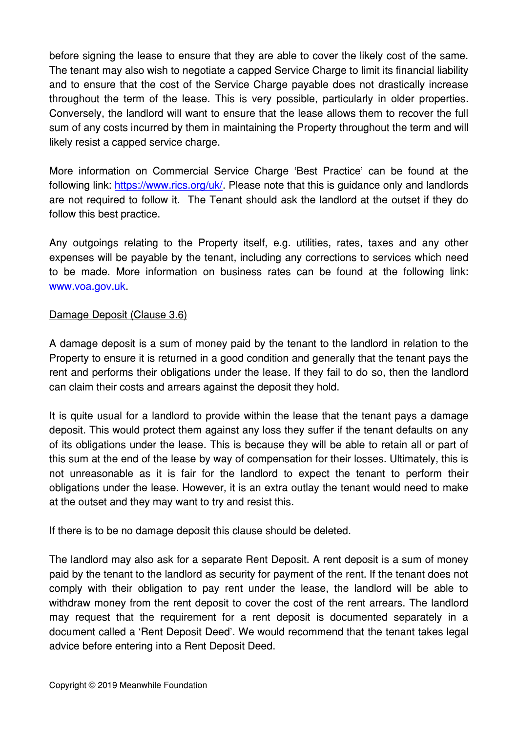before signing the lease to ensure that they are able to cover the likely cost of the same. The tenant may also wish to negotiate a capped Service Charge to limit its financial liability and to ensure that the cost of the Service Charge payable does not drastically increase throughout the term of the lease. This is very possible, particularly in older properties. Conversely, the landlord will want to ensure that the lease allows them to recover the full sum of any costs incurred by them in maintaining the Property throughout the term and will likely resist a capped service charge.

More information on Commercial Service Charge 'Best Practice' can be found at the following link: [https://www.rics.org/uk/.](https://www.rics.org/uk/) Please note that this is guidance only and landlords are not required to follow it. The Tenant should ask the landlord at the outset if they do follow this best practice.

Any outgoings relating to the Property itself, e.g. utilities, rates, taxes and any other expenses will be payable by the tenant, including any corrections to services which need to be made. More information on business rates can be found at the following link: [www.voa.gov.uk.](http://www.voa.gov.uk/)

## Damage Deposit (Clause 3.6)

A damage deposit is a sum of money paid by the tenant to the landlord in relation to the Property to ensure it is returned in a good condition and generally that the tenant pays the rent and performs their obligations under the lease. If they fail to do so, then the landlord can claim their costs and arrears against the deposit they hold.

It is quite usual for a landlord to provide within the lease that the tenant pays a damage deposit. This would protect them against any loss they suffer if the tenant defaults on any of its obligations under the lease. This is because they will be able to retain all or part of this sum at the end of the lease by way of compensation for their losses. Ultimately, this is not unreasonable as it is fair for the landlord to expect the tenant to perform their obligations under the lease. However, it is an extra outlay the tenant would need to make at the outset and they may want to try and resist this.

If there is to be no damage deposit this clause should be deleted.

The landlord may also ask for a separate Rent Deposit. A rent deposit is a sum of money paid by the tenant to the landlord as security for payment of the rent. If the tenant does not comply with their obligation to pay rent under the lease, the landlord will be able to withdraw money from the rent deposit to cover the cost of the rent arrears. The landlord may request that the requirement for a rent deposit is documented separately in a document called a 'Rent Deposit Deed'. We would recommend that the tenant takes legal advice before entering into a Rent Deposit Deed.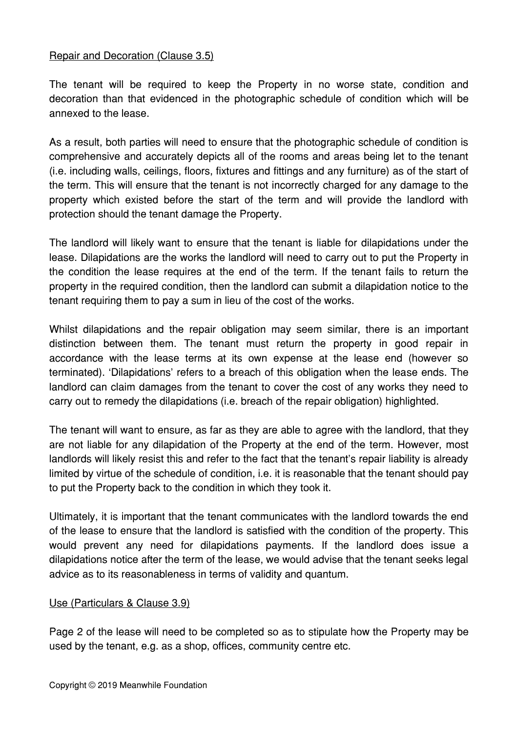#### Repair and Decoration (Clause 3.5)

The tenant will be required to keep the Property in no worse state, condition and decoration than that evidenced in the photographic schedule of condition which will be annexed to the lease.

As a result, both parties will need to ensure that the photographic schedule of condition is comprehensive and accurately depicts all of the rooms and areas being let to the tenant (i.e. including walls, ceilings, floors, fixtures and fittings and any furniture) as of the start of the term. This will ensure that the tenant is not incorrectly charged for any damage to the property which existed before the start of the term and will provide the landlord with protection should the tenant damage the Property.

The landlord will likely want to ensure that the tenant is liable for dilapidations under the lease. Dilapidations are the works the landlord will need to carry out to put the Property in the condition the lease requires at the end of the term. If the tenant fails to return the property in the required condition, then the landlord can submit a dilapidation notice to the tenant requiring them to pay a sum in lieu of the cost of the works.

Whilst dilapidations and the repair obligation may seem similar, there is an important distinction between them. The tenant must return the property in good repair in accordance with the lease terms at its own expense at the lease end (however so terminated). 'Dilapidations' refers to a breach of this obligation when the lease ends. The landlord can claim damages from the tenant to cover the cost of any works they need to carry out to remedy the dilapidations (i.e. breach of the repair obligation) highlighted.

The tenant will want to ensure, as far as they are able to agree with the landlord, that they are not liable for any dilapidation of the Property at the end of the term. However, most landlords will likely resist this and refer to the fact that the tenant's repair liability is already limited by virtue of the schedule of condition, i.e. it is reasonable that the tenant should pay to put the Property back to the condition in which they took it.

Ultimately, it is important that the tenant communicates with the landlord towards the end of the lease to ensure that the landlord is satisfied with the condition of the property. This would prevent any need for dilapidations payments. If the landlord does issue a dilapidations notice after the term of the lease, we would advise that the tenant seeks legal advice as to its reasonableness in terms of validity and quantum.

#### Use (Particulars & Clause 3.9)

Page 2 of the lease will need to be completed so as to stipulate how the Property may be used by the tenant, e.g. as a shop, offices, community centre etc.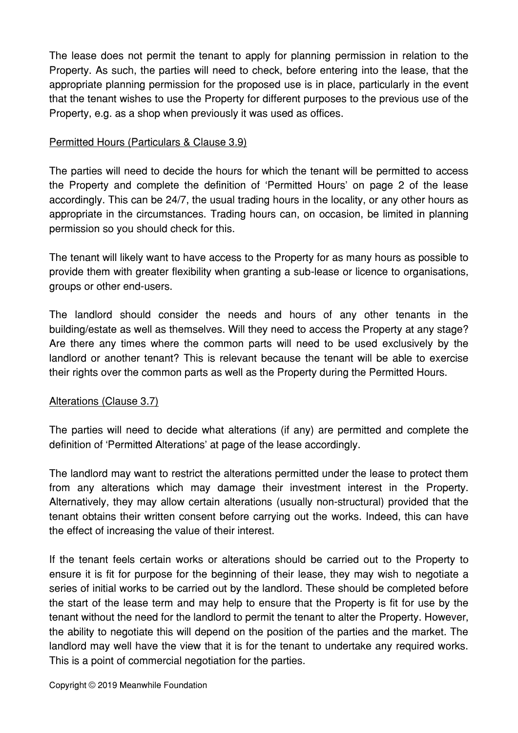The lease does not permit the tenant to apply for planning permission in relation to the Property. As such, the parties will need to check, before entering into the lease, that the appropriate planning permission for the proposed use is in place, particularly in the event that the tenant wishes to use the Property for different purposes to the previous use of the Property, e.g. as a shop when previously it was used as offices.

## Permitted Hours (Particulars & Clause 3.9)

The parties will need to decide the hours for which the tenant will be permitted to access the Property and complete the definition of 'Permitted Hours' on page 2 of the lease accordingly. This can be 24/7, the usual trading hours in the locality, or any other hours as appropriate in the circumstances. Trading hours can, on occasion, be limited in planning permission so you should check for this.

The tenant will likely want to have access to the Property for as many hours as possible to provide them with greater flexibility when granting a sub-lease or licence to organisations, groups or other end-users.

The landlord should consider the needs and hours of any other tenants in the building/estate as well as themselves. Will they need to access the Property at any stage? Are there any times where the common parts will need to be used exclusively by the landlord or another tenant? This is relevant because the tenant will be able to exercise their rights over the common parts as well as the Property during the Permitted Hours.

## Alterations (Clause 3.7)

The parties will need to decide what alterations (if any) are permitted and complete the definition of 'Permitted Alterations' at page of the lease accordingly.

The landlord may want to restrict the alterations permitted under the lease to protect them from any alterations which may damage their investment interest in the Property. Alternatively, they may allow certain alterations (usually non-structural) provided that the tenant obtains their written consent before carrying out the works. Indeed, this can have the effect of increasing the value of their interest.

If the tenant feels certain works or alterations should be carried out to the Property to ensure it is fit for purpose for the beginning of their lease, they may wish to negotiate a series of initial works to be carried out by the landlord. These should be completed before the start of the lease term and may help to ensure that the Property is fit for use by the tenant without the need for the landlord to permit the tenant to alter the Property. However, the ability to negotiate this will depend on the position of the parties and the market. The landlord may well have the view that it is for the tenant to undertake any required works. This is a point of commercial negotiation for the parties.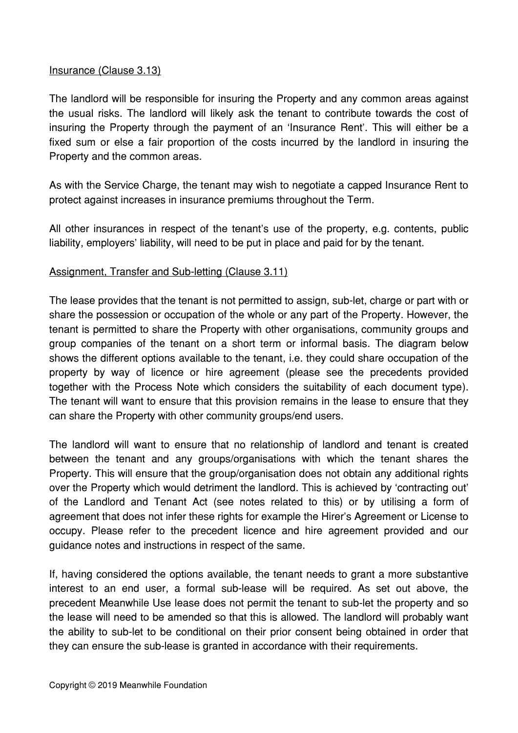#### Insurance (Clause 3.13)

The landlord will be responsible for insuring the Property and any common areas against the usual risks. The landlord will likely ask the tenant to contribute towards the cost of insuring the Property through the payment of an 'Insurance Rent'. This will either be a fixed sum or else a fair proportion of the costs incurred by the landlord in insuring the Property and the common areas.

As with the Service Charge, the tenant may wish to negotiate a capped Insurance Rent to protect against increases in insurance premiums throughout the Term.

All other insurances in respect of the tenant's use of the property, e.g. contents, public liability, employers' liability, will need to be put in place and paid for by the tenant.

## Assignment, Transfer and Sub-letting (Clause 3.11)

The lease provides that the tenant is not permitted to assign, sub-let, charge or part with or share the possession or occupation of the whole or any part of the Property. However, the tenant is permitted to share the Property with other organisations, community groups and group companies of the tenant on a short term or informal basis. The diagram below shows the different options available to the tenant, i.e. they could share occupation of the property by way of licence or hire agreement (please see the precedents provided together with the Process Note which considers the suitability of each document type). The tenant will want to ensure that this provision remains in the lease to ensure that they can share the Property with other community groups/end users.

The landlord will want to ensure that no relationship of landlord and tenant is created between the tenant and any groups/organisations with which the tenant shares the Property. This will ensure that the group/organisation does not obtain any additional rights over the Property which would detriment the landlord. This is achieved by 'contracting out' of the Landlord and Tenant Act (see notes related to this) or by utilising a form of agreement that does not infer these rights for example the Hirer's Agreement or License to occupy. Please refer to the precedent licence and hire agreement provided and our guidance notes and instructions in respect of the same.

If, having considered the options available, the tenant needs to grant a more substantive interest to an end user, a formal sub-lease will be required. As set out above, the precedent Meanwhile Use lease does not permit the tenant to sub-let the property and so the lease will need to be amended so that this is allowed. The landlord will probably want the ability to sub-let to be conditional on their prior consent being obtained in order that they can ensure the sub-lease is granted in accordance with their requirements.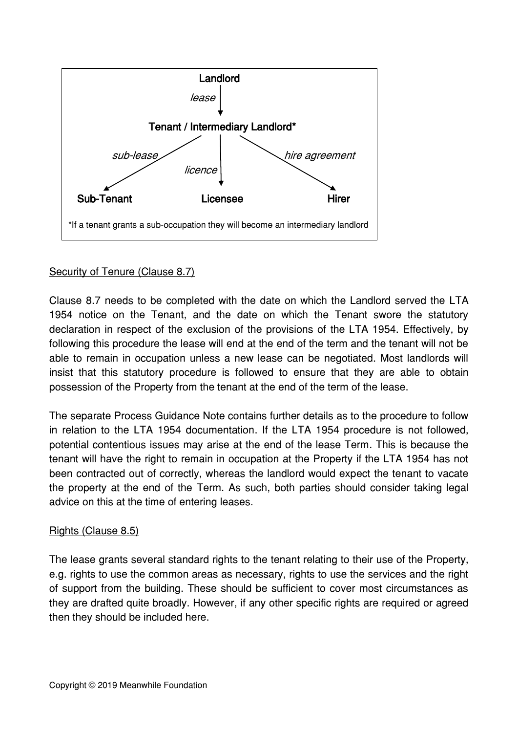

## Security of Tenure (Clause 8.7)

Clause 8.7 needs to be completed with the date on which the Landlord served the LTA 1954 notice on the Tenant, and the date on which the Tenant swore the statutory declaration in respect of the exclusion of the provisions of the LTA 1954. Effectively, by following this procedure the lease will end at the end of the term and the tenant will not be able to remain in occupation unless a new lease can be negotiated. Most landlords will insist that this statutory procedure is followed to ensure that they are able to obtain possession of the Property from the tenant at the end of the term of the lease.

The separate Process Guidance Note contains further details as to the procedure to follow in relation to the LTA 1954 documentation. If the LTA 1954 procedure is not followed, potential contentious issues may arise at the end of the lease Term. This is because the tenant will have the right to remain in occupation at the Property if the LTA 1954 has not been contracted out of correctly, whereas the landlord would expect the tenant to vacate the property at the end of the Term. As such, both parties should consider taking legal advice on this at the time of entering leases.

## Rights (Clause 8.5)

The lease grants several standard rights to the tenant relating to their use of the Property, e.g. rights to use the common areas as necessary, rights to use the services and the right of support from the building. These should be sufficient to cover most circumstances as they are drafted quite broadly. However, if any other specific rights are required or agreed then they should be included here.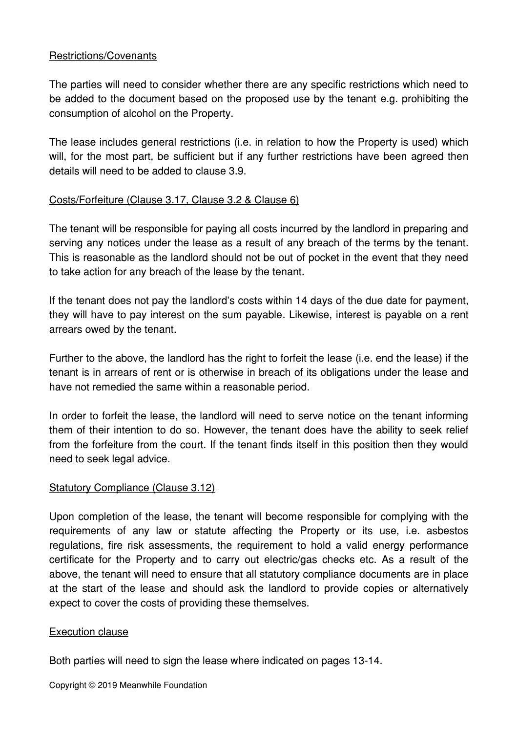## Restrictions/Covenants

The parties will need to consider whether there are any specific restrictions which need to be added to the document based on the proposed use by the tenant e.g. prohibiting the consumption of alcohol on the Property.

The lease includes general restrictions (i.e. in relation to how the Property is used) which will, for the most part, be sufficient but if any further restrictions have been agreed then details will need to be added to clause 3.9.

## Costs/Forfeiture (Clause 3.17, Clause 3.2 & Clause 6)

The tenant will be responsible for paying all costs incurred by the landlord in preparing and serving any notices under the lease as a result of any breach of the terms by the tenant. This is reasonable as the landlord should not be out of pocket in the event that they need to take action for any breach of the lease by the tenant.

If the tenant does not pay the landlord's costs within 14 days of the due date for payment, they will have to pay interest on the sum payable. Likewise, interest is payable on a rent arrears owed by the tenant.

Further to the above, the landlord has the right to forfeit the lease (i.e. end the lease) if the tenant is in arrears of rent or is otherwise in breach of its obligations under the lease and have not remedied the same within a reasonable period.

In order to forfeit the lease, the landlord will need to serve notice on the tenant informing them of their intention to do so. However, the tenant does have the ability to seek relief from the forfeiture from the court. If the tenant finds itself in this position then they would need to seek legal advice.

## Statutory Compliance (Clause 3.12)

Upon completion of the lease, the tenant will become responsible for complying with the requirements of any law or statute affecting the Property or its use, i.e. asbestos regulations, fire risk assessments, the requirement to hold a valid energy performance certificate for the Property and to carry out electric/gas checks etc. As a result of the above, the tenant will need to ensure that all statutory compliance documents are in place at the start of the lease and should ask the landlord to provide copies or alternatively expect to cover the costs of providing these themselves.

## Execution clause

Both parties will need to sign the lease where indicated on pages 13-14.

Copyright © 2019 Meanwhile Foundation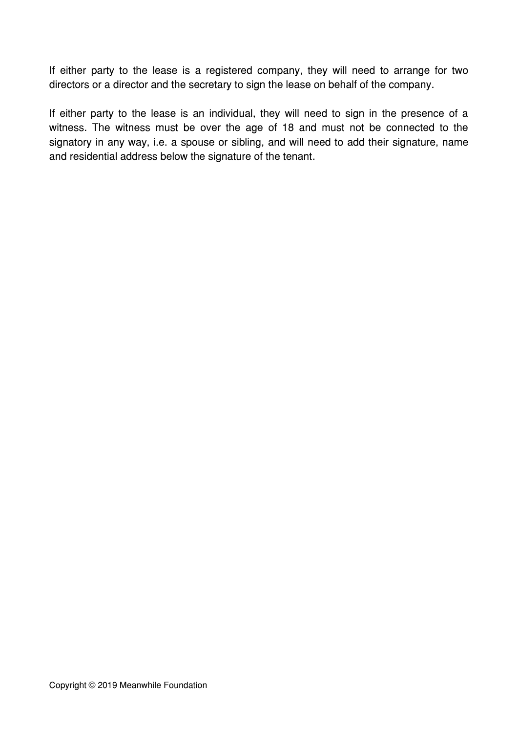If either party to the lease is a registered company, they will need to arrange for two directors or a director and the secretary to sign the lease on behalf of the company.

If either party to the lease is an individual, they will need to sign in the presence of a witness. The witness must be over the age of 18 and must not be connected to the signatory in any way, i.e. a spouse or sibling, and will need to add their signature, name and residential address below the signature of the tenant.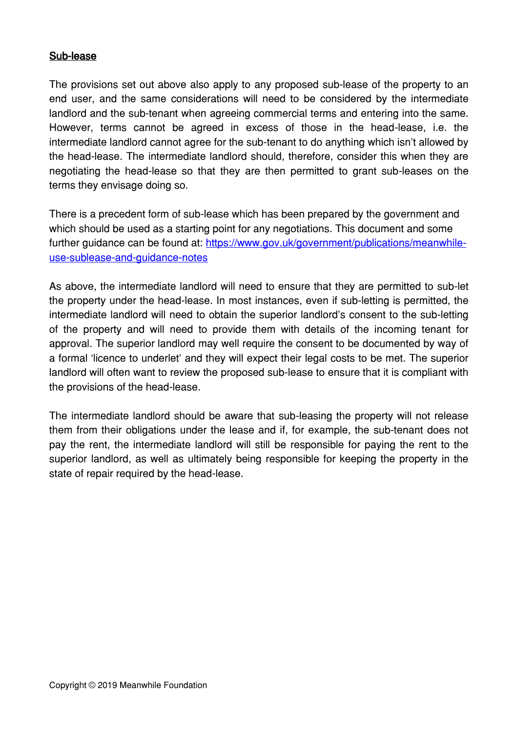## Sub-lease

The provisions set out above also apply to any proposed sub-lease of the property to an end user, and the same considerations will need to be considered by the intermediate landlord and the sub-tenant when agreeing commercial terms and entering into the same. However, terms cannot be agreed in excess of those in the head-lease, i.e. the intermediate landlord cannot agree for the sub-tenant to do anything which isn't allowed by the head-lease. The intermediate landlord should, therefore, consider this when they are negotiating the head-lease so that they are then permitted to grant sub-leases on the terms they envisage doing so.

There is a precedent form of sub-lease which has been prepared by the government and which should be used as a starting point for any negotiations. This document and some further guidance can be found at: [https://www.gov.uk/government/publications/meanwhile](https://www.gov.uk/government/publications/meanwhile-use-sublease-and-guidance-notes)[use-sublease-and-guidance-notes](https://www.gov.uk/government/publications/meanwhile-use-sublease-and-guidance-notes)

As above, the intermediate landlord will need to ensure that they are permitted to sub-let the property under the head-lease. In most instances, even if sub-letting is permitted, the intermediate landlord will need to obtain the superior landlord's consent to the sub-letting of the property and will need to provide them with details of the incoming tenant for approval. The superior landlord may well require the consent to be documented by way of a formal 'licence to underlet' and they will expect their legal costs to be met. The superior landlord will often want to review the proposed sub-lease to ensure that it is compliant with the provisions of the head-lease.

The intermediate landlord should be aware that sub-leasing the property will not release them from their obligations under the lease and if, for example, the sub-tenant does not pay the rent, the intermediate landlord will still be responsible for paying the rent to the superior landlord, as well as ultimately being responsible for keeping the property in the state of repair required by the head-lease.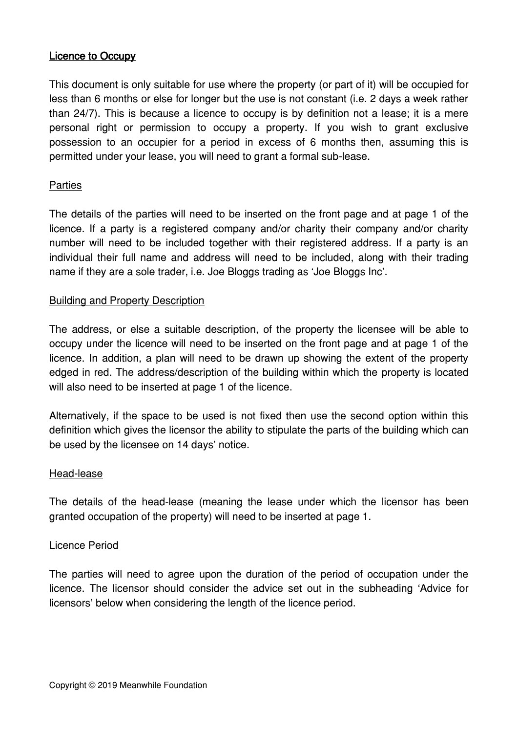## **Licence to Occupy**

This document is only suitable for use where the property (or part of it) will be occupied for less than 6 months or else for longer but the use is not constant (i.e. 2 days a week rather than 24/7). This is because a licence to occupy is by definition not a lease; it is a mere personal right or permission to occupy a property. If you wish to grant exclusive possession to an occupier for a period in excess of 6 months then, assuming this is permitted under your lease, you will need to grant a formal sub-lease.

#### **Parties**

The details of the parties will need to be inserted on the front page and at page 1 of the licence. If a party is a registered company and/or charity their company and/or charity number will need to be included together with their registered address. If a party is an individual their full name and address will need to be included, along with their trading name if they are a sole trader, i.e. Joe Bloggs trading as 'Joe Bloggs Inc'.

#### **Building and Property Description**

The address, or else a suitable description, of the property the licensee will be able to occupy under the licence will need to be inserted on the front page and at page 1 of the licence. In addition, a plan will need to be drawn up showing the extent of the property edged in red. The address/description of the building within which the property is located will also need to be inserted at page 1 of the licence.

Alternatively, if the space to be used is not fixed then use the second option within this definition which gives the licensor the ability to stipulate the parts of the building which can be used by the licensee on 14 days' notice.

#### Head-lease

The details of the head-lease (meaning the lease under which the licensor has been granted occupation of the property) will need to be inserted at page 1.

#### Licence Period

The parties will need to agree upon the duration of the period of occupation under the licence. The licensor should consider the advice set out in the subheading 'Advice for licensors' below when considering the length of the licence period.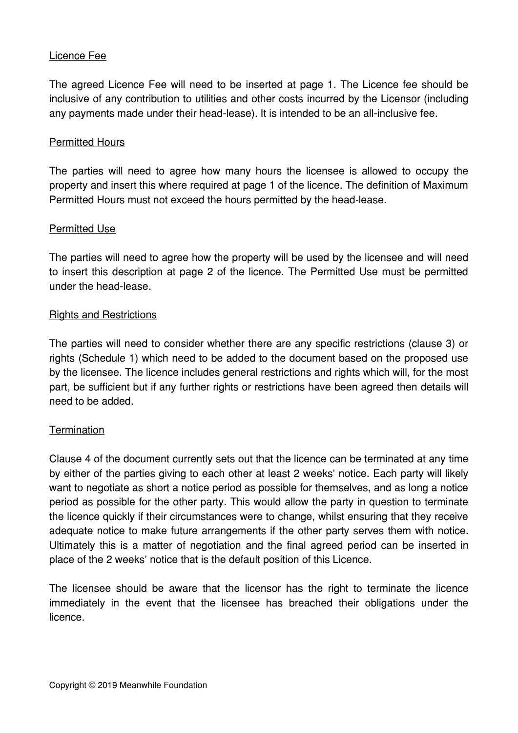#### Licence Fee

The agreed Licence Fee will need to be inserted at page 1. The Licence fee should be inclusive of any contribution to utilities and other costs incurred by the Licensor (including any payments made under their head-lease). It is intended to be an all-inclusive fee.

#### Permitted Hours

The parties will need to agree how many hours the licensee is allowed to occupy the property and insert this where required at page 1 of the licence. The definition of Maximum Permitted Hours must not exceed the hours permitted by the head-lease.

#### Permitted Use

The parties will need to agree how the property will be used by the licensee and will need to insert this description at page 2 of the licence. The Permitted Use must be permitted under the head-lease.

#### Rights and Restrictions

The parties will need to consider whether there are any specific restrictions (clause 3) or rights (Schedule 1) which need to be added to the document based on the proposed use by the licensee. The licence includes general restrictions and rights which will, for the most part, be sufficient but if any further rights or restrictions have been agreed then details will need to be added.

## **Termination**

Clause 4 of the document currently sets out that the licence can be terminated at any time by either of the parties giving to each other at least 2 weeks' notice. Each party will likely want to negotiate as short a notice period as possible for themselves, and as long a notice period as possible for the other party. This would allow the party in question to terminate the licence quickly if their circumstances were to change, whilst ensuring that they receive adequate notice to make future arrangements if the other party serves them with notice. Ultimately this is a matter of negotiation and the final agreed period can be inserted in place of the 2 weeks' notice that is the default position of this Licence.

The licensee should be aware that the licensor has the right to terminate the licence immediately in the event that the licensee has breached their obligations under the licence.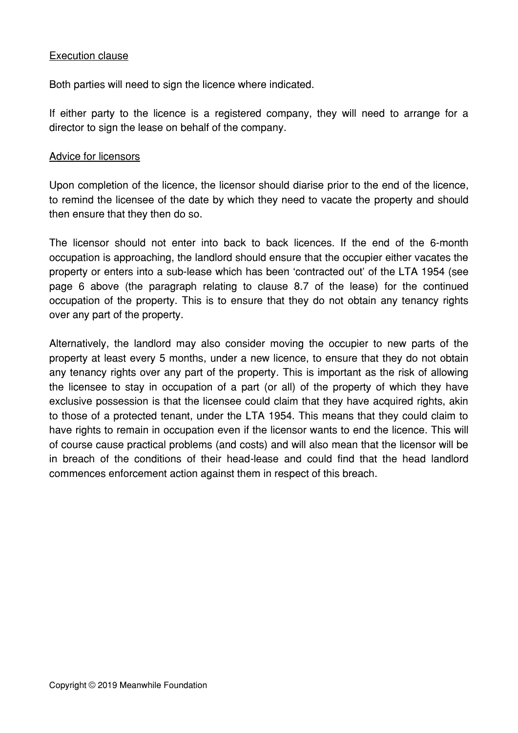#### Execution clause

Both parties will need to sign the licence where indicated.

If either party to the licence is a registered company, they will need to arrange for a director to sign the lease on behalf of the company.

#### Advice for licensors

Upon completion of the licence, the licensor should diarise prior to the end of the licence, to remind the licensee of the date by which they need to vacate the property and should then ensure that they then do so.

The licensor should not enter into back to back licences. If the end of the 6-month occupation is approaching, the landlord should ensure that the occupier either vacates the property or enters into a sub-lease which has been 'contracted out' of the LTA 1954 (see page 6 above (the paragraph relating to clause 8.7 of the lease) for the continued occupation of the property. This is to ensure that they do not obtain any tenancy rights over any part of the property.

Alternatively, the landlord may also consider moving the occupier to new parts of the property at least every 5 months, under a new licence, to ensure that they do not obtain any tenancy rights over any part of the property. This is important as the risk of allowing the licensee to stay in occupation of a part (or all) of the property of which they have exclusive possession is that the licensee could claim that they have acquired rights, akin to those of a protected tenant, under the LTA 1954. This means that they could claim to have rights to remain in occupation even if the licensor wants to end the licence. This will of course cause practical problems (and costs) and will also mean that the licensor will be in breach of the conditions of their head-lease and could find that the head landlord commences enforcement action against them in respect of this breach.